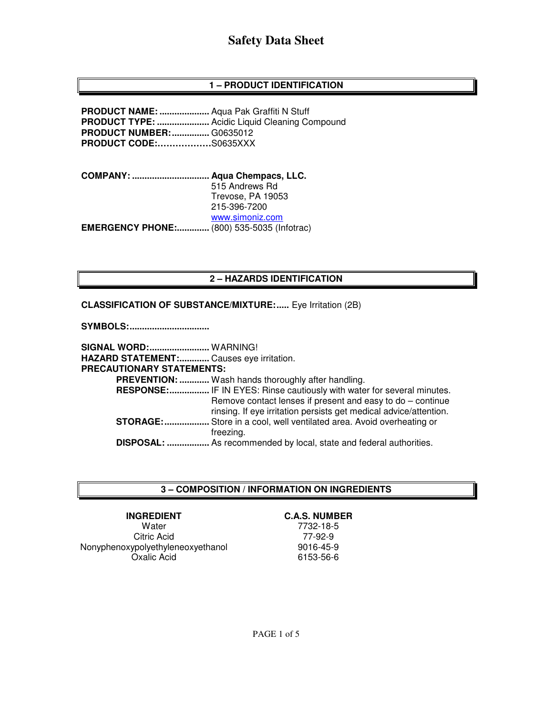# **1 – PRODUCT IDENTIFICATION**

**PRODUCT NAME: ....................** Aqua Pak Graffiti N Stuff **PRODUCT TYPE: .....................** Acidic Liquid Cleaning Compound **PRODUCT NUMBER: ...............** G0635012 **PRODUCT CODE:………………**S0635XXX

**COMPANY: ............................... Aqua Chempacs, LLC.**  515 Andrews Rd Trevose, PA 19053 215-396-7200 www.simoniz.com **EMERGENCY PHONE:.............** (800) 535-5035 (Infotrac)

## **2 – HAZARDS IDENTIFICATION**

#### **CLASSIFICATION OF SUBSTANCE/MIXTURE:** ..... Eye Irritation (2B)

**SYMBOLS: ................................** 

**SIGNAL WORD: ........................** WARNING! **HAZARD STATEMENT: ............** Causes eye irritation. **PRECAUTIONARY STATEMENTS: PREVENTION: ............** Wash hands thoroughly after handling.  **RESPONSE: ................** IF IN EYES: Rinse cautiously with water for several minutes. Remove contact lenses if present and easy to do – continue rinsing. If eye irritation persists get medical advice/attention. **STORAGE: ..................** Store in a cool, well ventilated area. Avoid overheating or freezing.  **DISPOSAL: .................** As recommended by local, state and federal authorities.

### **3 – COMPOSITION / INFORMATION ON INGREDIENTS**

#### **INGREDIENT**

**Water** Citric Acid Nonyphenoxypolyethyleneoxyethanol Oxalic Acid

**C.A.S. NUMBER** 

7732-18-5 77-92-9 9016-45-9 6153-56-6

PAGE 1 of 5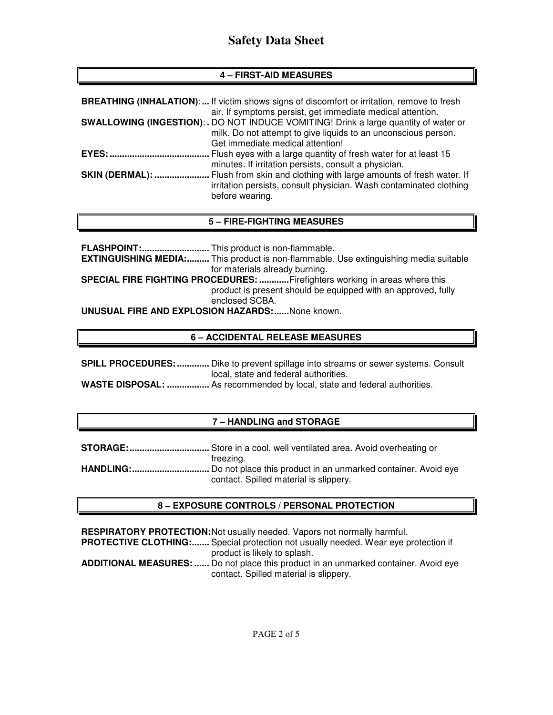# **4 – FIRST-AID MEASURES**

|                        | <b>BREATHING (INHALATION):</b> If victim shows signs of discomfort or irritation, remove to fresh<br>air. If symptoms persist, get immediate medical attention.                                  |
|------------------------|--------------------------------------------------------------------------------------------------------------------------------------------------------------------------------------------------|
|                        | <b>SWALLOWING (INGESTION):.</b> DO NOT INDUCE VOMITING! Drink a large quantity of water or<br>milk. Do not attempt to give liquids to an unconscious person.<br>Get immediate medical attention! |
| <b>EYES: </b>          | Flush eyes with a large quantity of fresh water for at least 15<br>minutes. If irritation persists, consult a physician.                                                                         |
| <b>SKIN (DERMAL): </b> | Flush from skin and clothing with large amounts of fresh water. If<br>irritation persists, consult physician. Wash contaminated clothing<br>before wearing.                                      |

# **5 – FIRE-FIGHTING MEASURES**

**FLASHPOINT: ...........................** This product is non-flammable. **EXTINGUISHING MEDIA: .........** This product is non-flammable. Use extinguishing media suitable for materials already burning. **SPECIAL FIRE FIGHTING PROCEDURES: ............** Firefighters working in areas where this product is present should be equipped with an approved, fully enclosed SCBA. **UNUSUAL FIRE AND EXPLOSION HAZARDS: ......** None known.

# **6 – ACCIDENTAL RELEASE MEASURES**

|                       | <b>SPILL PROCEDURES: </b> Dike to prevent spillage into streams or sewer systems. Consult |
|-----------------------|-------------------------------------------------------------------------------------------|
|                       | local, state and federal authorities.                                                     |
| <b>WASTE DISPOSAL</b> | As recommended by local state and federal authorities                                     |

### **WASTE DISPOSAL: .................** As recommended by local, state and federal authorities.

# **7 – HANDLING and STORAGE**

| freezing.                                                                      |
|--------------------------------------------------------------------------------|
| <b>HANDLING:</b> Do not place this product in an unmarked container. Avoid eye |
| contact. Spilled material is slippery.                                         |

# **8 – EXPOSURE CONTROLS / PERSONAL PROTECTION**

**RESPIRATORY PROTECTION: Not usually needed. Vapors not normally harmful.** PROTECTIVE CLOTHING:....... Special protection not usually needed. Wear eye protection if product is likely to splash. **ADDITIONAL MEASURES: ......** Do not place this product in an unmarked container. Avoid eye contact. Spilled material is slippery.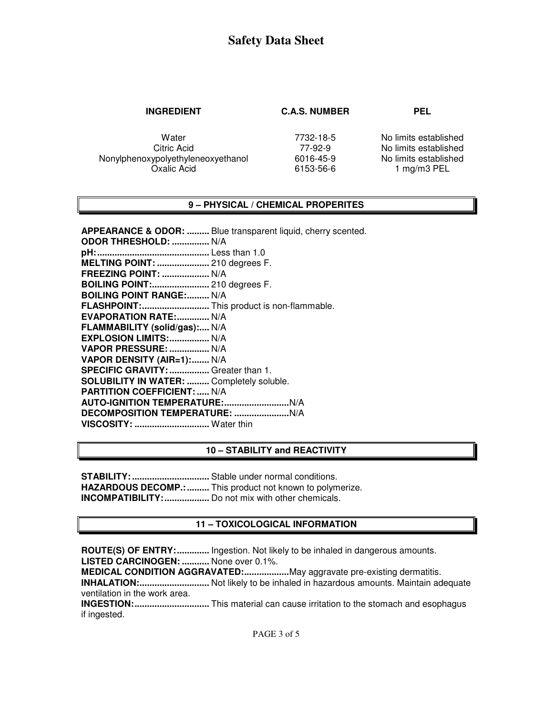#### **INGREDIENT C.A.S. NUMBER PEL**

**Water** Citric Acid Nonylphenoxypolyethyleneoxyethanol Oxalic Acid

7732-18-5 77-92-9 6016-45-9 6153-56-6 No limits established No limits established No limits established 1 mg/m3 PEL

### **9 – PHYSICAL / CHEMICAL PROPERITES**

**APPEARANCE & ODOR: .........** Blue transparent liquid, cherry scented. **ODOR THRESHOLD: ...............** N/A **pH: .............................................** Less than 1.0 **MELTING POINT: .....................** 210 degrees F. **FREEZING POINT: ...................** N/A **BOILING POINT:.......................** 210 degrees F. **BOILING POINT RANGE:......... N/A FLASHPOINT: ...........................** This product is non-flammable. **EVAPORATION RATE:.............. N/A FLAMMABILITY (solid/gas):....** N/A **EXPLOSION LIMITS: ................** N/A **VAPOR PRESSURE: ................** N/A **VAPOR DENSITY (AIR=1): .......** N/A **SPECIFIC GRAVITY: ................** Greater than 1. **SOLUBILITY IN WATER: .........** Completely soluble. **PARTITION COEFFICIENT: .....** N/A **AUTO-IGNITION TEMPERATURE: ..........................** N/A **DECOMPOSITION TEMPERATURE: ......................** N/A **VISCOSITY: ..............................** Water thin

### **10 – STABILITY and REACTIVITY**

**STABILITY: ...............................** Stable under normal conditions. **HAZARDOUS DECOMP.: .........** This product not known to polymerize. **INCOMPATIBILITY: ..................** Do not mix with other chemicals.

# **11 – TOXICOLOGICAL INFORMATION**

**ROUTE(S) OF ENTRY: .............** Ingestion. Not likely to be inhaled in dangerous amounts. **LISTED CARCINOGEN: ...........** None over 0.1%. **MEDICAL CONDITION AGGRAVATED: ..................** May aggravate pre-existing dermatitis. **INHALATION: ............................** Not likely to be inhaled in hazardous amounts. Maintain adequate ventilation in the work area. **INGESTION: ..............................** This material can cause irritation to the stomach and esophagus if ingested.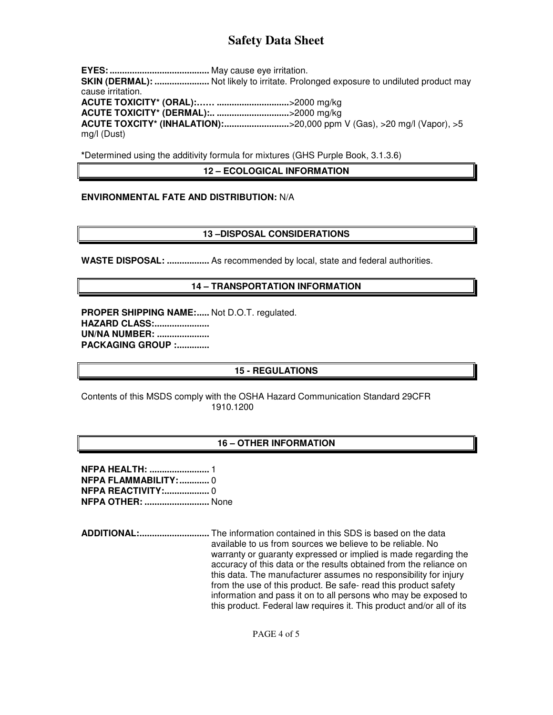**EYES: ........................................** May cause eye irritation. **SKIN (DERMAL): .......................** Not likely to irritate. Prolonged exposure to undiluted product may cause irritation. **ACUTE TOXICITY\* (ORAL):…… .............................** >2000 mg/kg **ACUTE TOXICITY\* (DERMAL):.. .............................** >2000 mg/kg **ACUTE TOXCITY\* (INHALATION): ..................................** > 20,000 ppm V (Gas), > 20 mg/l (Vapor), > 5 mg/l (Dust)

**\***Determined using the additivity formula for mixtures (GHS Purple Book, 3.1.3.6)

## **12 – ECOLOGICAL INFORMATION**

### **ENVIRONMENTAL FATE AND DISTRIBUTION:** N/A

### **13 –DISPOSAL CONSIDERATIONS**

**WASTE DISPOSAL: .................** As recommended by local, state and federal authorities.

## **14 – TRANSPORTATION INFORMATION**

**PROPER SHIPPING NAME:..... Not D.O.T. regulated. HAZARD CLASS: ...................... UN/NA NUMBER: ..................... PACKAGING GROUP :.............** 

# **15 - REGULATIONS**

Contents of this MSDS comply with the OSHA Hazard Communication Standard 29CFR 1910.1200

### **16 – OTHER INFORMATION**

**NFPA HEALTH: ........................** 1 **NFPA FLAMMABILITY: ............** 0 **NFPA REACTIVITY: ..................** 0 **NFPA OTHER: ..........................** None

**ADDITIONAL: ............................** The information contained in this SDS is based on the data available to us from sources we believe to be reliable. No warranty or guaranty expressed or implied is made regarding the accuracy of this data or the results obtained from the reliance on this data. The manufacturer assumes no responsibility for injury from the use of this product. Be safe- read this product safety information and pass it on to all persons who may be exposed to this product. Federal law requires it. This product and/or all of its